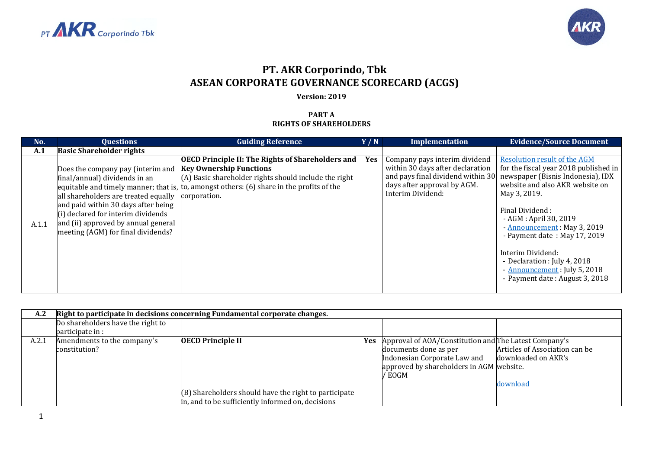



## **PT. AKR Corporindo, Tbk ASEAN CORPORATE GOVERNANCE SCORECARD (ACGS)**

## **Version: 2019**

## **PART A RIGHTS OF SHAREHOLDERS**

| No.   | <b>Questions</b>                                                                                                                                                                                                                                                     | <b>Guiding Reference</b>                                                                                                                                                                                                                                           | Y/N | Implementation                                                                                                        | <b>Evidence/Source Document</b>                                                                                                                                                                                                                                                                                                                                                                                                           |
|-------|----------------------------------------------------------------------------------------------------------------------------------------------------------------------------------------------------------------------------------------------------------------------|--------------------------------------------------------------------------------------------------------------------------------------------------------------------------------------------------------------------------------------------------------------------|-----|-----------------------------------------------------------------------------------------------------------------------|-------------------------------------------------------------------------------------------------------------------------------------------------------------------------------------------------------------------------------------------------------------------------------------------------------------------------------------------------------------------------------------------------------------------------------------------|
| A.1   | <b>Basic Shareholder rights</b>                                                                                                                                                                                                                                      |                                                                                                                                                                                                                                                                    |     |                                                                                                                       |                                                                                                                                                                                                                                                                                                                                                                                                                                           |
| A.1.1 | Does the company pay (interim and<br>final/annual) dividends in an<br>all shareholders are treated equally<br>and paid within 30 days after being<br>(i) declared for interim dividends<br>and (ii) approved by annual general<br>meeting (AGM) for final dividends? | <b>OECD Principle II: The Rights of Shareholders and</b><br><b>Key Ownership Functions</b><br>(A) Basic shareholder rights should include the right<br>equitable and timely manner; that is, to, amongst others: $(6)$ share in the profits of the<br>corporation. | Yes | Company pays interim dividend<br>within 30 days after declaration<br>days after approval by AGM.<br>Interim Dividend: | <b>Resolution result of the AGM</b><br>for the fiscal year 2018 published in<br>and pays final dividend within 30 newspaper (Bisnis Indonesia), IDX<br>website and also AKR website on<br>May 3, 2019.<br>Final Dividend:<br>- AGM : April 30, 2019<br>- Announcement: May 3, 2019<br>- Payment date: May 17, 2019<br>Interim Dividend:<br>- Declaration : July 4, 2018<br>- Announcement: July 5, 2018<br>- Payment date: August 3, 2018 |

| A.2   |                                              | Right to participate in decisions concerning Fundamental corporate changes.                                                            |     |                                                                                                                                                                      |                                                                   |
|-------|----------------------------------------------|----------------------------------------------------------------------------------------------------------------------------------------|-----|----------------------------------------------------------------------------------------------------------------------------------------------------------------------|-------------------------------------------------------------------|
|       | Do shareholders have the right to            |                                                                                                                                        |     |                                                                                                                                                                      |                                                                   |
|       | participate in :                             |                                                                                                                                        |     |                                                                                                                                                                      |                                                                   |
| A.2.1 | Amendments to the company's<br>constitution? | <b>OECD Principle II</b><br>(B) Shareholders should have the right to participate<br>in, and to be sufficiently informed on, decisions | Yes | Approval of AOA/Constitution and The Latest Company's<br>documents done as per<br>Indonesian Corporate Law and<br>approved by shareholders in AGM website.<br>/ EOGM | Articles of Association can be<br>downloaded on AKR's<br>download |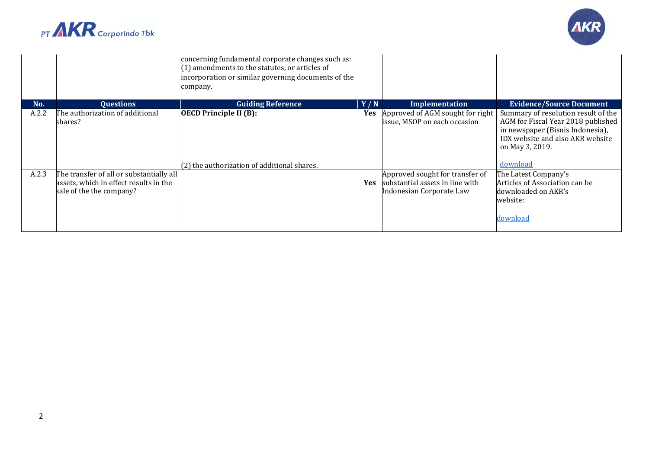



|       |                                                                    | concerning fundamental corporate changes such as:<br>$(1)$ amendments to the statutes, or articles of<br>incorporation or similar governing documents of the<br>company. |            |                                                                  |                                                                                                                                                                                  |
|-------|--------------------------------------------------------------------|--------------------------------------------------------------------------------------------------------------------------------------------------------------------------|------------|------------------------------------------------------------------|----------------------------------------------------------------------------------------------------------------------------------------------------------------------------------|
| No.   | <b>Ouestions</b>                                                   | <b>Guiding Reference</b>                                                                                                                                                 | Y/N        | Implementation                                                   | <b>Evidence/Source Document</b>                                                                                                                                                  |
| A.2.2 | The authorization of additional<br>shares?                         | <b>OECD Principle II (B):</b><br>(2) the authorization of additional shares.                                                                                             | Yes        | Approved of AGM sought for right<br>issue, MSOP on each occasion | Summary of resolution result of the<br>AGM for Fiscal Year 2018 published<br>in newspaper (Bisnis Indonesia),<br>IDX website and also AKR website<br>on May 3, 2019.<br>download |
| A.2.3 | The transfer of all or substantially all                           |                                                                                                                                                                          |            | Approved sought for transfer of                                  | The Latest Company's                                                                                                                                                             |
|       | assets, which in effect results in the<br>sale of the the company? |                                                                                                                                                                          | <b>Yes</b> | substantial assets in line with<br>Indonesian Corporate Law      | Articles of Association can be<br>downloaded on AKR's<br>website:<br>download                                                                                                    |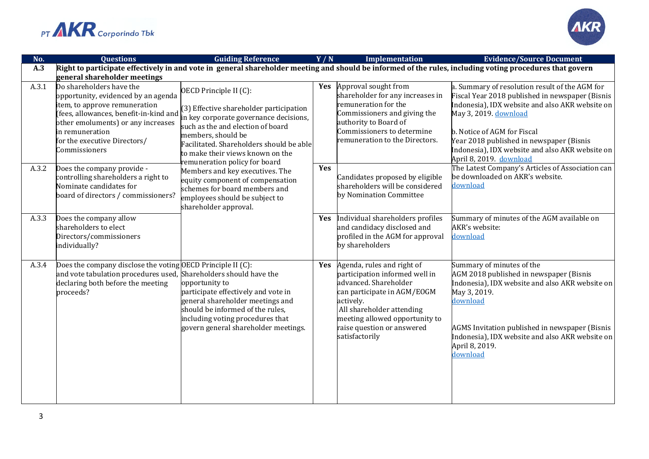



| No.   | <b>Ouestions</b>                                                                                                                                                                                                                                    | <b>Guiding Reference</b>                                                                                                                                                                                                                                                              | Y/N        | <b>Implementation</b>                                                                                                                                                                                                                            | <b>Evidence/Source Document</b>                                                                                                                                                                                                                                                                                                        |
|-------|-----------------------------------------------------------------------------------------------------------------------------------------------------------------------------------------------------------------------------------------------------|---------------------------------------------------------------------------------------------------------------------------------------------------------------------------------------------------------------------------------------------------------------------------------------|------------|--------------------------------------------------------------------------------------------------------------------------------------------------------------------------------------------------------------------------------------------------|----------------------------------------------------------------------------------------------------------------------------------------------------------------------------------------------------------------------------------------------------------------------------------------------------------------------------------------|
| A.3   |                                                                                                                                                                                                                                                     |                                                                                                                                                                                                                                                                                       |            |                                                                                                                                                                                                                                                  | Right to participate effectively in and vote in general shareholder meeting and should be informed of the rules, including voting procedures that govern                                                                                                                                                                               |
|       | general shareholder meetings                                                                                                                                                                                                                        |                                                                                                                                                                                                                                                                                       |            |                                                                                                                                                                                                                                                  |                                                                                                                                                                                                                                                                                                                                        |
| A.3.1 | Do shareholders have the<br>opportunity, evidenced by an agenda<br>item, to approve remuneration<br>fees, allowances, benefit-in-kind and<br>other emoluments) or any increases<br>in remuneration<br>for the executive Directors/<br>Commissioners | OECD Principle II (C):<br>(3) Effective shareholder participation<br>n key corporate governance decisions,<br>such as the and election of board<br>members, should be<br>Facilitated. Shareholders should be able<br>to make their views known on the<br>emuneration policy for board | Yes        | Approval sought from<br>shareholder for any increases in<br>remuneration for the<br>Commissioners and giving the<br>authority to Board of<br>Commissioners to determine<br>remuneration to the Directors.                                        | a. Summary of resolution result of the AGM for<br>Fiscal Year 2018 published in newspaper (Bisnis<br>Indonesia), IDX website and also AKR website on<br>May 3, 2019. download<br>b. Notice of AGM for Fiscal<br>Year 2018 published in newspaper (Bisnis<br>Indonesia), IDX website and also AKR website on<br>April 8, 2019. download |
| A.3.2 | Does the company provide -<br>controlling shareholders a right to<br>Nominate candidates for<br>board of directors / commissioners?                                                                                                                 | Members and key executives. The<br>equity component of compensation<br>schemes for board members and<br>employees should be subject to<br>shareholder approval.                                                                                                                       | Yes        | Candidates proposed by eligible<br>shareholders will be considered<br>by Nomination Committee                                                                                                                                                    | The Latest Company's Articles of Association can<br>be downloaded on AKR's website.<br>download                                                                                                                                                                                                                                        |
| A.3.3 | Does the company allow<br>shareholders to elect<br>Directors/commissioners<br>individually?                                                                                                                                                         |                                                                                                                                                                                                                                                                                       | <b>Yes</b> | Individual shareholders profiles<br>and candidacy disclosed and<br>profiled in the AGM for approval<br>by shareholders                                                                                                                           | Summary of minutes of the AGM available on<br>AKR's website:<br>download                                                                                                                                                                                                                                                               |
| A.3.4 | Does the company disclose the voting OECD Principle II (C):<br>and vote tabulation procedures used, Shareholders should have the<br>declaring both before the meeting<br>proceeds?                                                                  | opportunity to<br>participate effectively and vote in<br>general shareholder meetings and<br>should be informed of the rules,<br>including voting procedures that<br>govern general shareholder meetings.                                                                             | Yes        | Agenda, rules and right of<br>participation informed well in<br>advanced. Shareholder<br>can participate in AGM/EOGM<br>actively.<br>All shareholder attending<br>meeting allowed opportunity to<br>raise question or answered<br>satisfactorily | Summary of minutes of the<br>AGM 2018 published in newspaper (Bisnis<br>Indonesia), IDX website and also AKR website on<br>May 3, 2019.<br>download<br>AGMS Invitation published in newspaper (Bisnis<br>Indonesia), IDX website and also AKR website on<br>April 8, 2019.<br>download                                                 |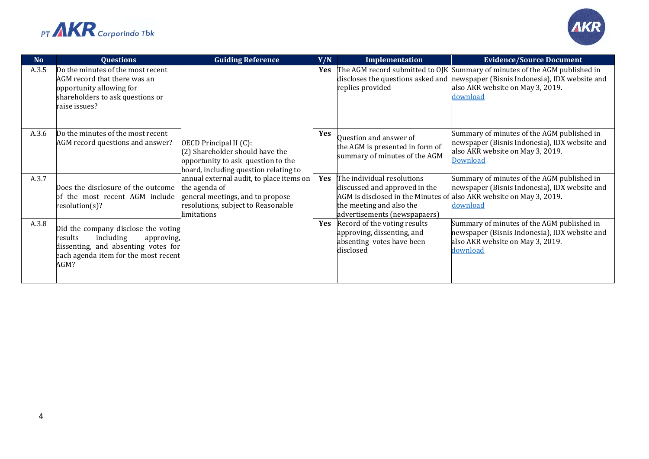



| <b>No</b> | <b>Questions</b>                                                                                                                                                 | <b>Guiding Reference</b>                                                                                                                           | Y/N        | Implementation                                                                                                                                                                                 | <b>Evidence/Source Document</b>                                                                                                                                                                               |
|-----------|------------------------------------------------------------------------------------------------------------------------------------------------------------------|----------------------------------------------------------------------------------------------------------------------------------------------------|------------|------------------------------------------------------------------------------------------------------------------------------------------------------------------------------------------------|---------------------------------------------------------------------------------------------------------------------------------------------------------------------------------------------------------------|
| A.3.5     | Do the minutes of the most recent<br>AGM record that there was an<br>opportunity allowing for<br>shareholders to ask questions or<br>raise issues?               |                                                                                                                                                    | Yes        | replies provided                                                                                                                                                                               | The AGM record submitted to OJK Summary of minutes of the AGM published in<br>discloses the questions asked and mewspaper (Bisnis Indonesia), IDX website and<br>also AKR website on May 3, 2019.<br>download |
| A.3.6     | Do the minutes of the most recent<br>AGM record questions and answer?                                                                                            | OECD Principal II (C):<br>$(2)$ Shareholder should have the<br>opportunity to ask question to the<br>board, including question relating to         | Yes        | Question and answer of<br>the AGM is presented in form of<br>summary of minutes of the AGM                                                                                                     | Summary of minutes of the AGM published in<br>newspaper (Bisnis Indonesia), IDX website and<br>also AKR website on May 3, 2019.<br><b>Download</b>                                                            |
| A.3.7     | Does the disclosure of the outcome<br>of the most recent AGM include<br>resolution(s)?                                                                           | annual external audit, to place items on<br>the agenda of<br>general meetings, and to propose<br>resolutions, subject to Reasonable<br>limitations | Yes        | The individual resolutions<br>discussed and approved in the<br>AGM is disclosed in the Minutes of also AKR website on May 3, 2019.<br>the meeting and also the<br>advertisements (newspapaers) | Summary of minutes of the AGM published in<br>newspaper (Bisnis Indonesia), IDX website and<br>download                                                                                                       |
| A.3.8     | Did the company disclose the voting<br>including<br>results<br>approving,<br>dissenting, and absenting votes for<br>each agenda item for the most recent<br>AGM? |                                                                                                                                                    | <b>Yes</b> | Record of the voting results<br>approving, dissenting, and<br>absenting votes have been<br>disclosed                                                                                           | Summary of minutes of the AGM published in<br>newspaper (Bisnis Indonesia), IDX website and<br>also AKR website on May 3, 2019.<br>download                                                                   |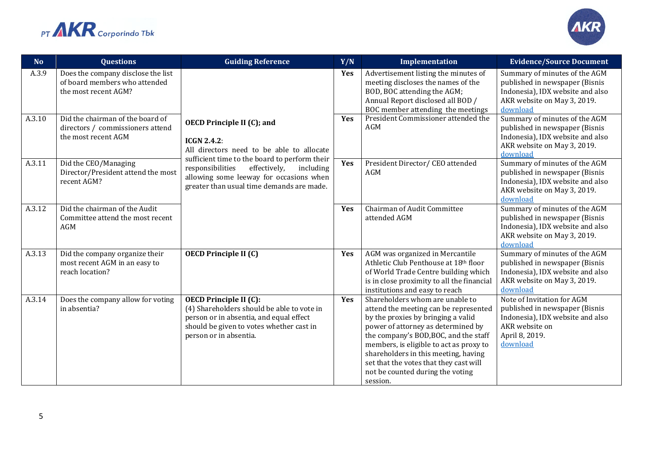



| <b>No</b> | <b>Questions</b>                                                                            | <b>Guiding Reference</b>                                                                                                                                                                     | Y/N | Implementation                                                                                                                                                                                                                                                                                                                                                             | <b>Evidence/Source Document</b>                                                                                                                  |
|-----------|---------------------------------------------------------------------------------------------|----------------------------------------------------------------------------------------------------------------------------------------------------------------------------------------------|-----|----------------------------------------------------------------------------------------------------------------------------------------------------------------------------------------------------------------------------------------------------------------------------------------------------------------------------------------------------------------------------|--------------------------------------------------------------------------------------------------------------------------------------------------|
| A.3.9     | Does the company disclose the list<br>of board members who attended<br>the most recent AGM? |                                                                                                                                                                                              | Yes | Advertisement listing the minutes of<br>meeting discloses the names of the<br>BOD, BOC attending the AGM;<br>Annual Report disclosed all BOD /<br>BOC member attending the meetings                                                                                                                                                                                        | Summary of minutes of the AGM<br>published in newspaper (Bisnis<br>Indonesia), IDX website and also<br>AKR website on May 3, 2019.<br>download   |
| A.3.10    | Did the chairman of the board of<br>directors / commissioners attend<br>the most recent AGM | <b>OECD Principle II (C); and</b><br>$ICGN 2.4.2$ :<br>All directors need to be able to allocate                                                                                             | Yes | President Commissioner attended the<br>AGM                                                                                                                                                                                                                                                                                                                                 | Summary of minutes of the AGM<br>published in newspaper (Bisnis<br>Indonesia), IDX website and also<br>AKR website on May 3, 2019.<br>download   |
| A.3.11    | Did the CEO/Managing<br>Director/President attend the most<br>recent AGM?                   | sufficient time to the board to perform their<br>responsibilities<br>effectively,<br>including<br>allowing some leeway for occasions when<br>greater than usual time demands are made.       | Yes | President Director/ CEO attended<br>AGM                                                                                                                                                                                                                                                                                                                                    | Summary of minutes of the AGM<br>published in newspaper (Bisnis<br>Indonesia), IDX website and also<br>AKR website on May 3, 2019.<br>download   |
| A.3.12    | Did the chairman of the Audit<br>Committee attend the most recent<br><b>AGM</b>             |                                                                                                                                                                                              | Yes | Chairman of Audit Committee<br>attended AGM                                                                                                                                                                                                                                                                                                                                | Summary of minutes of the AGM<br>published in newspaper (Bisnis<br>Indonesia), IDX website and also<br>AKR website on May 3, 2019.<br>download   |
| A.3.13    | Did the company organize their<br>most recent AGM in an easy to<br>reach location?          | <b>OECD Principle II (C)</b>                                                                                                                                                                 | Yes | AGM was organized in Mercantile<br>Athletic Club Penthouse at 18th floor<br>of World Trade Centre building which<br>is in close proximity to all the financial<br>institutions and easy to reach                                                                                                                                                                           | Summary of minutes of the AGM<br>published in newspaper (Bisnis<br>Indonesia), IDX website and also<br>AKR website on May 3, 2019.<br>download   |
| A.3.14    | Does the company allow for voting<br>in absentia?                                           | <b>OECD Principle II (C):</b><br>(4) Shareholders should be able to vote in<br>person or in absentia, and equal effect<br>should be given to votes whether cast in<br>person or in absentia. | Yes | Shareholders whom are unable to<br>attend the meeting can be represented<br>by the proxies by bringing a valid<br>power of attorney as determined by<br>the company's BOD, BOC, and the staff<br>members, is eligible to act as proxy to<br>shareholders in this meeting, having<br>set that the votes that they cast will<br>not be counted during the voting<br>session. | Note of Invitation for AGM<br>published in newspaper (Bisnis<br>Indonesia), IDX website and also<br>AKR website on<br>April 8, 2019.<br>download |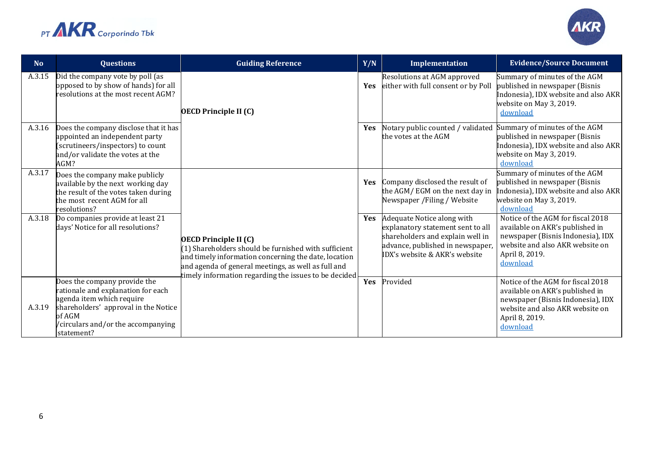



| N <sub>o</sub> | <b>Questions</b>                                                                                                                                                                                     | <b>Guiding Reference</b>                                                                                                                                                                                                                                     | Y/N        | Implementation                                                                                                                                                           | <b>Evidence/Source Document</b>                                                                                                                                            |
|----------------|------------------------------------------------------------------------------------------------------------------------------------------------------------------------------------------------------|--------------------------------------------------------------------------------------------------------------------------------------------------------------------------------------------------------------------------------------------------------------|------------|--------------------------------------------------------------------------------------------------------------------------------------------------------------------------|----------------------------------------------------------------------------------------------------------------------------------------------------------------------------|
| A.3.15         | Did the company vote by poll (as<br>opposed to by show of hands) for all<br>resolutions at the most recent AGM?                                                                                      | <b>OECD Principle II (C)</b>                                                                                                                                                                                                                                 | <b>Yes</b> | Resolutions at AGM approved<br>either with full consent or by Poll                                                                                                       | Summary of minutes of the AGM<br>published in newspaper (Bisnis<br>Indonesia), IDX website and also AKR<br>website on May 3, 2019.<br>download                             |
| A.3.16         | Does the company disclose that it has<br>appointed an independent party<br>scrutineers/inspectors) to count<br>and/or validate the votes at the<br>AGM?                                              | <b>Yes</b>                                                                                                                                                                                                                                                   |            | Notary public counted / validated<br>the votes at the AGM                                                                                                                | Summary of minutes of the AGM<br>published in newspaper (Bisnis<br>Indonesia), IDX website and also AKR<br>website on May 3, 2019.<br>download                             |
| A.3.17         | Does the company make publicly<br>available by the next working day<br>the result of the votes taken during<br>the most recent AGM for all<br>resolutions?                                           |                                                                                                                                                                                                                                                              | Yes        | Company disclosed the result of<br>the AGM/EGM on the next day in<br>Newspaper / Filing / Website                                                                        | Summary of minutes of the AGM<br>published in newspaper (Bisnis<br>Indonesia), IDX website and also AKR<br>website on May 3, 2019.<br>download                             |
| A.3.18         | Do companies provide at least 21<br>days' Notice for all resolutions?                                                                                                                                | <b>OECD Principle II (C)</b><br>(1) Shareholders should be furnished with sufficient<br>and timely information concerning the date, location<br>and agenda of general meetings, as well as full and<br>timely information regarding the issues to be decided | Yes        | Adequate Notice along with<br>explanatory statement sent to all<br>shareholders and explain well in<br>advance, published in newspaper,<br>IDX's website & AKR's website | Notice of the AGM for fiscal 2018<br>available on AKR's published in<br>newspaper (Bisnis Indonesia), IDX<br>website and also AKR website on<br>April 8, 2019.<br>download |
| A.3.19         | Does the company provide the<br>ationale and explanation for each<br>agenda item which require<br>shareholders' approval in the Notice<br>of AGM<br>/circulars and/or the accompanying<br>statement? |                                                                                                                                                                                                                                                              | Yes        | Provided                                                                                                                                                                 | Notice of the AGM for fiscal 2018<br>available on AKR's published in<br>newspaper (Bisnis Indonesia), IDX<br>website and also AKR website on<br>April 8, 2019.<br>download |